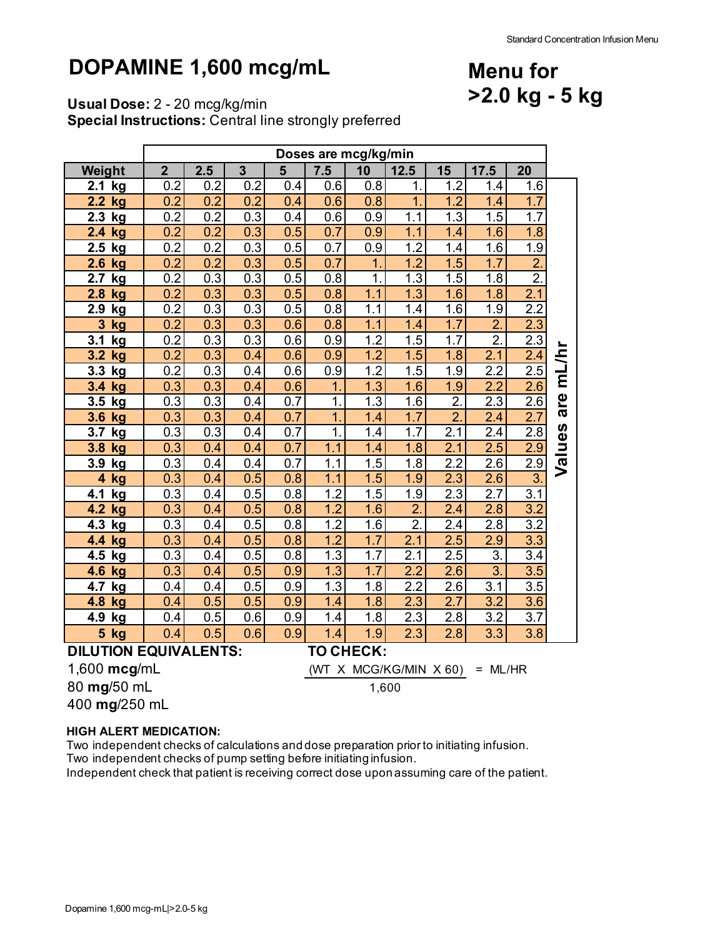**Menu for**

**>2.0 kg - 5 kg**

# **DOPAMINE 1,600 mcg/mL**

**Usual Dose:** 2 - 20 mcg/kg/min

**Special Instructions:** Central line strongly preferred

| 7.5<br>$\overline{2}$<br>2.5<br>3<br>10<br>15<br>Weight<br>$5\phantom{1}$<br>12.5<br>17.5<br>20<br>0.2<br>0.2<br>1.6<br>0.2<br>0.4<br>0.6<br>0.8<br>1.2<br>1.4<br>2.1<br>1.<br>kg<br>0.2<br>0.2<br>$\overline{1}$<br>1.2<br>1.7<br>2.2<br>0.2<br>0.4<br>1.4<br>kg<br>0.6<br>0.8<br>0.2<br>1.7<br>0.2<br>0.3<br>0.9<br>1.3<br>1.5<br>2.3<br>0.4<br>0.6<br>1.1<br>kg<br>0.9<br>0.2<br>0.2<br>0.3<br>0.5<br>0.7<br>1.1<br>1.6<br>1.8<br>1.4<br>2.4<br>kg<br>0.7<br>1.2<br>1.9<br>2.5<br>0.2<br>0.2<br>0.3<br>0.5<br>0.9<br>1.4<br>1.6<br>kg<br>$\overline{2}$ .<br>1.2<br>0.2<br>0.2<br>0.5<br>0.7<br>1.5<br>1.7<br>2.6<br>0.3<br>1.<br>kg<br>$\overline{2}$ .<br>$\overline{1}$ .<br>$\overline{0.2}$<br>$\overline{0.3}$<br>0.5<br>$\overline{1.3}$<br>1.5<br>$\overline{1.8}$<br>2.7<br>0.3<br>0.8<br>kg<br>1.3<br>1.8<br>0.2<br>0.3<br>0.3<br>0.5<br>0.8<br>1.1<br>1.6<br>2.1<br>2.8<br>kg<br>$\overline{2.2}$<br>0.2<br>0.3<br>0.3<br>0.5<br>0.8<br>1.1<br>1.6<br>1.9<br>2.9<br>1.4<br>kg<br>$\overline{2}$<br>0.2<br>1.7<br>2.3<br>3<br>0.3<br>0.3<br>0.6<br>0.8<br>1.1<br>1.4<br>kg<br>$\overline{2}$ .<br>0.2<br>1.2<br>1.5<br>1.7<br>2.3<br>0.3<br>0.3<br>0.6<br>0.9<br>3.1<br>kg<br>mL/h<br>1.2<br>1.5<br>2.1<br>2.4<br>0.2<br>0.3<br>0.4<br>0.6<br>0.9<br>1.8<br>3.2<br>kg<br>$\overline{2.5}$<br>$\overline{1.2}$<br>$\overline{1.5}$<br>$\overline{2.2}$<br>$\overline{0.9}$<br>1.9<br>3.3<br>0.2<br>0.3<br>0.4<br>0.6<br>kg<br>2.6<br>2.2<br>3.4<br>0.3<br>0.3<br>0.4<br>0.6<br>$\overline{1}$ .<br>1.3<br>1.6<br>1.9<br>kg<br>are<br>$\overline{2}$ .<br>1.3<br>1.6<br>2.6<br>0.3<br>0.3<br>0.7<br>1.<br>2.3<br>3.5<br>0.4<br>kg<br>$\overline{2}$ .<br>$\overline{1}$ .<br>1.7<br>$\overline{2.7}$<br>0.3<br>0.3<br>0.4<br>0.7<br>2.4<br>3.6<br>1.4<br>kg<br>Values<br>2.4<br>2.8<br>0.3<br>1.<br>$\overline{1}$ .7<br>2.1<br>0.3<br>0.4<br>0.7<br>1.4<br>3.7<br>kg<br>1.1<br>1.8<br>2.1<br>2.5<br>3.8<br>0.3<br>0.4<br>0.7<br>1.4<br>2.9<br>kg<br>0.4<br>1.5<br>$\overline{2.9}$<br>0.3<br>1.1<br>1.8<br>2.2<br>2.6<br>0.4<br>0.4<br>0.7<br>3.9<br><u>kg</u><br>$\overline{3}$<br>1.1<br>1.5<br>1.9<br>2.3<br>2.6<br>$\overline{4}$<br>0.3<br>0.4<br>0.5<br>0.8<br>kg<br>1.5<br>$\overline{1.2}$<br>$\overline{2.3}$<br>$\overline{2.7}$<br>0.3<br>0.5<br>1.9<br>3.1<br>0.4<br>0.8<br>4.1<br>kg<br>1.2<br>$\overline{2}$<br>$\overline{2.8}$<br>$\overline{3.2}$<br>4.2<br>0.3<br>0.4<br>0.5<br>0.8<br>1.6<br>2.4<br>kg<br>$\overline{2}$ .<br>3.2<br>0.5<br>1.2<br>2.4<br>0.3<br>0.4<br>0.8<br>1.6<br>2.8<br>4.3<br>kg<br>3.3<br>0.3<br>0.5<br>0.8<br>1.2<br>1.7<br>2.1<br>2.5<br>2.9<br>4.4<br>0.4<br>kg<br>2.5<br>1.3<br>2.1<br>$\overline{3}$ .<br>$\overline{3.4}$<br>0.3<br>0.5<br>0.8<br>1.7<br>4.5<br>0.4<br>kg<br>$\overline{3}$ .<br>3.5<br>4.6<br>1.3<br>1.7<br>2.2<br>2.6<br>0.3<br>0.4<br>0.5<br>0.9<br>kg<br>$\overline{1.3}$<br>2.2<br>3.5<br>0.5<br>1.8<br>2.6<br>3.1<br>4.7<br>0.4<br>0.9<br>0.4<br>kg<br>2.3<br>2.7<br>3.2<br>3.6<br>0.5<br>0.5<br>0.9<br>1.4<br>1.8<br>4.8<br>0.4<br>kg<br>2.3<br>$\overline{2.8}$<br>3.2<br>3.7<br>0.5<br>0.6<br>1.4<br>1.8<br>4.9<br>0.4<br>0.9<br>kg<br>3.3<br>3.8<br>5 <sup>5</sup><br>0.6<br>0.9<br>2.8 |    | Doses are mcg/kg/min |     |  |  |     |     |     |  |  |  |  |
|-------------------------------------------------------------------------------------------------------------------------------------------------------------------------------------------------------------------------------------------------------------------------------------------------------------------------------------------------------------------------------------------------------------------------------------------------------------------------------------------------------------------------------------------------------------------------------------------------------------------------------------------------------------------------------------------------------------------------------------------------------------------------------------------------------------------------------------------------------------------------------------------------------------------------------------------------------------------------------------------------------------------------------------------------------------------------------------------------------------------------------------------------------------------------------------------------------------------------------------------------------------------------------------------------------------------------------------------------------------------------------------------------------------------------------------------------------------------------------------------------------------------------------------------------------------------------------------------------------------------------------------------------------------------------------------------------------------------------------------------------------------------------------------------------------------------------------------------------------------------------------------------------------------------------------------------------------------------------------------------------------------------------------------------------------------------------------------------------------------------------------------------------------------------------------------------------------------------------------------------------------------------------------------------------------------------------------------------------------------------------------------------------------------------------------------------------------------------------------------------------------------------------------------------------------------------------------------------------------------------------------------------------------------------------------------------------------------------------------------------------------------------------------------------------------------------------------------------------------------------------------------------------------------------------------------------------------------------------------------------------------------------------------------------------------------------------------------------------------------------------------------------------------------------------------|----|----------------------|-----|--|--|-----|-----|-----|--|--|--|--|
|                                                                                                                                                                                                                                                                                                                                                                                                                                                                                                                                                                                                                                                                                                                                                                                                                                                                                                                                                                                                                                                                                                                                                                                                                                                                                                                                                                                                                                                                                                                                                                                                                                                                                                                                                                                                                                                                                                                                                                                                                                                                                                                                                                                                                                                                                                                                                                                                                                                                                                                                                                                                                                                                                                                                                                                                                                                                                                                                                                                                                                                                                                                                                                               |    |                      |     |  |  |     |     |     |  |  |  |  |
|                                                                                                                                                                                                                                                                                                                                                                                                                                                                                                                                                                                                                                                                                                                                                                                                                                                                                                                                                                                                                                                                                                                                                                                                                                                                                                                                                                                                                                                                                                                                                                                                                                                                                                                                                                                                                                                                                                                                                                                                                                                                                                                                                                                                                                                                                                                                                                                                                                                                                                                                                                                                                                                                                                                                                                                                                                                                                                                                                                                                                                                                                                                                                                               |    |                      |     |  |  |     |     |     |  |  |  |  |
|                                                                                                                                                                                                                                                                                                                                                                                                                                                                                                                                                                                                                                                                                                                                                                                                                                                                                                                                                                                                                                                                                                                                                                                                                                                                                                                                                                                                                                                                                                                                                                                                                                                                                                                                                                                                                                                                                                                                                                                                                                                                                                                                                                                                                                                                                                                                                                                                                                                                                                                                                                                                                                                                                                                                                                                                                                                                                                                                                                                                                                                                                                                                                                               |    |                      |     |  |  |     |     |     |  |  |  |  |
|                                                                                                                                                                                                                                                                                                                                                                                                                                                                                                                                                                                                                                                                                                                                                                                                                                                                                                                                                                                                                                                                                                                                                                                                                                                                                                                                                                                                                                                                                                                                                                                                                                                                                                                                                                                                                                                                                                                                                                                                                                                                                                                                                                                                                                                                                                                                                                                                                                                                                                                                                                                                                                                                                                                                                                                                                                                                                                                                                                                                                                                                                                                                                                               |    |                      |     |  |  |     |     |     |  |  |  |  |
|                                                                                                                                                                                                                                                                                                                                                                                                                                                                                                                                                                                                                                                                                                                                                                                                                                                                                                                                                                                                                                                                                                                                                                                                                                                                                                                                                                                                                                                                                                                                                                                                                                                                                                                                                                                                                                                                                                                                                                                                                                                                                                                                                                                                                                                                                                                                                                                                                                                                                                                                                                                                                                                                                                                                                                                                                                                                                                                                                                                                                                                                                                                                                                               |    |                      |     |  |  |     |     |     |  |  |  |  |
|                                                                                                                                                                                                                                                                                                                                                                                                                                                                                                                                                                                                                                                                                                                                                                                                                                                                                                                                                                                                                                                                                                                                                                                                                                                                                                                                                                                                                                                                                                                                                                                                                                                                                                                                                                                                                                                                                                                                                                                                                                                                                                                                                                                                                                                                                                                                                                                                                                                                                                                                                                                                                                                                                                                                                                                                                                                                                                                                                                                                                                                                                                                                                                               |    |                      |     |  |  |     |     |     |  |  |  |  |
|                                                                                                                                                                                                                                                                                                                                                                                                                                                                                                                                                                                                                                                                                                                                                                                                                                                                                                                                                                                                                                                                                                                                                                                                                                                                                                                                                                                                                                                                                                                                                                                                                                                                                                                                                                                                                                                                                                                                                                                                                                                                                                                                                                                                                                                                                                                                                                                                                                                                                                                                                                                                                                                                                                                                                                                                                                                                                                                                                                                                                                                                                                                                                                               |    |                      |     |  |  |     |     |     |  |  |  |  |
|                                                                                                                                                                                                                                                                                                                                                                                                                                                                                                                                                                                                                                                                                                                                                                                                                                                                                                                                                                                                                                                                                                                                                                                                                                                                                                                                                                                                                                                                                                                                                                                                                                                                                                                                                                                                                                                                                                                                                                                                                                                                                                                                                                                                                                                                                                                                                                                                                                                                                                                                                                                                                                                                                                                                                                                                                                                                                                                                                                                                                                                                                                                                                                               |    |                      |     |  |  |     |     |     |  |  |  |  |
|                                                                                                                                                                                                                                                                                                                                                                                                                                                                                                                                                                                                                                                                                                                                                                                                                                                                                                                                                                                                                                                                                                                                                                                                                                                                                                                                                                                                                                                                                                                                                                                                                                                                                                                                                                                                                                                                                                                                                                                                                                                                                                                                                                                                                                                                                                                                                                                                                                                                                                                                                                                                                                                                                                                                                                                                                                                                                                                                                                                                                                                                                                                                                                               |    |                      |     |  |  |     |     |     |  |  |  |  |
|                                                                                                                                                                                                                                                                                                                                                                                                                                                                                                                                                                                                                                                                                                                                                                                                                                                                                                                                                                                                                                                                                                                                                                                                                                                                                                                                                                                                                                                                                                                                                                                                                                                                                                                                                                                                                                                                                                                                                                                                                                                                                                                                                                                                                                                                                                                                                                                                                                                                                                                                                                                                                                                                                                                                                                                                                                                                                                                                                                                                                                                                                                                                                                               |    |                      |     |  |  |     |     |     |  |  |  |  |
|                                                                                                                                                                                                                                                                                                                                                                                                                                                                                                                                                                                                                                                                                                                                                                                                                                                                                                                                                                                                                                                                                                                                                                                                                                                                                                                                                                                                                                                                                                                                                                                                                                                                                                                                                                                                                                                                                                                                                                                                                                                                                                                                                                                                                                                                                                                                                                                                                                                                                                                                                                                                                                                                                                                                                                                                                                                                                                                                                                                                                                                                                                                                                                               |    |                      |     |  |  |     |     |     |  |  |  |  |
|                                                                                                                                                                                                                                                                                                                                                                                                                                                                                                                                                                                                                                                                                                                                                                                                                                                                                                                                                                                                                                                                                                                                                                                                                                                                                                                                                                                                                                                                                                                                                                                                                                                                                                                                                                                                                                                                                                                                                                                                                                                                                                                                                                                                                                                                                                                                                                                                                                                                                                                                                                                                                                                                                                                                                                                                                                                                                                                                                                                                                                                                                                                                                                               |    |                      |     |  |  |     |     |     |  |  |  |  |
|                                                                                                                                                                                                                                                                                                                                                                                                                                                                                                                                                                                                                                                                                                                                                                                                                                                                                                                                                                                                                                                                                                                                                                                                                                                                                                                                                                                                                                                                                                                                                                                                                                                                                                                                                                                                                                                                                                                                                                                                                                                                                                                                                                                                                                                                                                                                                                                                                                                                                                                                                                                                                                                                                                                                                                                                                                                                                                                                                                                                                                                                                                                                                                               |    |                      |     |  |  |     |     |     |  |  |  |  |
|                                                                                                                                                                                                                                                                                                                                                                                                                                                                                                                                                                                                                                                                                                                                                                                                                                                                                                                                                                                                                                                                                                                                                                                                                                                                                                                                                                                                                                                                                                                                                                                                                                                                                                                                                                                                                                                                                                                                                                                                                                                                                                                                                                                                                                                                                                                                                                                                                                                                                                                                                                                                                                                                                                                                                                                                                                                                                                                                                                                                                                                                                                                                                                               |    |                      |     |  |  |     |     |     |  |  |  |  |
|                                                                                                                                                                                                                                                                                                                                                                                                                                                                                                                                                                                                                                                                                                                                                                                                                                                                                                                                                                                                                                                                                                                                                                                                                                                                                                                                                                                                                                                                                                                                                                                                                                                                                                                                                                                                                                                                                                                                                                                                                                                                                                                                                                                                                                                                                                                                                                                                                                                                                                                                                                                                                                                                                                                                                                                                                                                                                                                                                                                                                                                                                                                                                                               |    |                      |     |  |  |     |     |     |  |  |  |  |
|                                                                                                                                                                                                                                                                                                                                                                                                                                                                                                                                                                                                                                                                                                                                                                                                                                                                                                                                                                                                                                                                                                                                                                                                                                                                                                                                                                                                                                                                                                                                                                                                                                                                                                                                                                                                                                                                                                                                                                                                                                                                                                                                                                                                                                                                                                                                                                                                                                                                                                                                                                                                                                                                                                                                                                                                                                                                                                                                                                                                                                                                                                                                                                               |    |                      |     |  |  |     |     |     |  |  |  |  |
|                                                                                                                                                                                                                                                                                                                                                                                                                                                                                                                                                                                                                                                                                                                                                                                                                                                                                                                                                                                                                                                                                                                                                                                                                                                                                                                                                                                                                                                                                                                                                                                                                                                                                                                                                                                                                                                                                                                                                                                                                                                                                                                                                                                                                                                                                                                                                                                                                                                                                                                                                                                                                                                                                                                                                                                                                                                                                                                                                                                                                                                                                                                                                                               |    |                      |     |  |  |     |     |     |  |  |  |  |
|                                                                                                                                                                                                                                                                                                                                                                                                                                                                                                                                                                                                                                                                                                                                                                                                                                                                                                                                                                                                                                                                                                                                                                                                                                                                                                                                                                                                                                                                                                                                                                                                                                                                                                                                                                                                                                                                                                                                                                                                                                                                                                                                                                                                                                                                                                                                                                                                                                                                                                                                                                                                                                                                                                                                                                                                                                                                                                                                                                                                                                                                                                                                                                               |    |                      |     |  |  |     |     |     |  |  |  |  |
|                                                                                                                                                                                                                                                                                                                                                                                                                                                                                                                                                                                                                                                                                                                                                                                                                                                                                                                                                                                                                                                                                                                                                                                                                                                                                                                                                                                                                                                                                                                                                                                                                                                                                                                                                                                                                                                                                                                                                                                                                                                                                                                                                                                                                                                                                                                                                                                                                                                                                                                                                                                                                                                                                                                                                                                                                                                                                                                                                                                                                                                                                                                                                                               |    |                      |     |  |  |     |     |     |  |  |  |  |
|                                                                                                                                                                                                                                                                                                                                                                                                                                                                                                                                                                                                                                                                                                                                                                                                                                                                                                                                                                                                                                                                                                                                                                                                                                                                                                                                                                                                                                                                                                                                                                                                                                                                                                                                                                                                                                                                                                                                                                                                                                                                                                                                                                                                                                                                                                                                                                                                                                                                                                                                                                                                                                                                                                                                                                                                                                                                                                                                                                                                                                                                                                                                                                               |    |                      |     |  |  |     |     |     |  |  |  |  |
|                                                                                                                                                                                                                                                                                                                                                                                                                                                                                                                                                                                                                                                                                                                                                                                                                                                                                                                                                                                                                                                                                                                                                                                                                                                                                                                                                                                                                                                                                                                                                                                                                                                                                                                                                                                                                                                                                                                                                                                                                                                                                                                                                                                                                                                                                                                                                                                                                                                                                                                                                                                                                                                                                                                                                                                                                                                                                                                                                                                                                                                                                                                                                                               |    |                      |     |  |  |     |     |     |  |  |  |  |
|                                                                                                                                                                                                                                                                                                                                                                                                                                                                                                                                                                                                                                                                                                                                                                                                                                                                                                                                                                                                                                                                                                                                                                                                                                                                                                                                                                                                                                                                                                                                                                                                                                                                                                                                                                                                                                                                                                                                                                                                                                                                                                                                                                                                                                                                                                                                                                                                                                                                                                                                                                                                                                                                                                                                                                                                                                                                                                                                                                                                                                                                                                                                                                               |    |                      |     |  |  |     |     |     |  |  |  |  |
|                                                                                                                                                                                                                                                                                                                                                                                                                                                                                                                                                                                                                                                                                                                                                                                                                                                                                                                                                                                                                                                                                                                                                                                                                                                                                                                                                                                                                                                                                                                                                                                                                                                                                                                                                                                                                                                                                                                                                                                                                                                                                                                                                                                                                                                                                                                                                                                                                                                                                                                                                                                                                                                                                                                                                                                                                                                                                                                                                                                                                                                                                                                                                                               |    |                      |     |  |  |     |     |     |  |  |  |  |
|                                                                                                                                                                                                                                                                                                                                                                                                                                                                                                                                                                                                                                                                                                                                                                                                                                                                                                                                                                                                                                                                                                                                                                                                                                                                                                                                                                                                                                                                                                                                                                                                                                                                                                                                                                                                                                                                                                                                                                                                                                                                                                                                                                                                                                                                                                                                                                                                                                                                                                                                                                                                                                                                                                                                                                                                                                                                                                                                                                                                                                                                                                                                                                               |    |                      |     |  |  |     |     |     |  |  |  |  |
|                                                                                                                                                                                                                                                                                                                                                                                                                                                                                                                                                                                                                                                                                                                                                                                                                                                                                                                                                                                                                                                                                                                                                                                                                                                                                                                                                                                                                                                                                                                                                                                                                                                                                                                                                                                                                                                                                                                                                                                                                                                                                                                                                                                                                                                                                                                                                                                                                                                                                                                                                                                                                                                                                                                                                                                                                                                                                                                                                                                                                                                                                                                                                                               |    |                      |     |  |  |     |     |     |  |  |  |  |
|                                                                                                                                                                                                                                                                                                                                                                                                                                                                                                                                                                                                                                                                                                                                                                                                                                                                                                                                                                                                                                                                                                                                                                                                                                                                                                                                                                                                                                                                                                                                                                                                                                                                                                                                                                                                                                                                                                                                                                                                                                                                                                                                                                                                                                                                                                                                                                                                                                                                                                                                                                                                                                                                                                                                                                                                                                                                                                                                                                                                                                                                                                                                                                               |    |                      |     |  |  |     |     |     |  |  |  |  |
|                                                                                                                                                                                                                                                                                                                                                                                                                                                                                                                                                                                                                                                                                                                                                                                                                                                                                                                                                                                                                                                                                                                                                                                                                                                                                                                                                                                                                                                                                                                                                                                                                                                                                                                                                                                                                                                                                                                                                                                                                                                                                                                                                                                                                                                                                                                                                                                                                                                                                                                                                                                                                                                                                                                                                                                                                                                                                                                                                                                                                                                                                                                                                                               |    |                      |     |  |  |     |     |     |  |  |  |  |
|                                                                                                                                                                                                                                                                                                                                                                                                                                                                                                                                                                                                                                                                                                                                                                                                                                                                                                                                                                                                                                                                                                                                                                                                                                                                                                                                                                                                                                                                                                                                                                                                                                                                                                                                                                                                                                                                                                                                                                                                                                                                                                                                                                                                                                                                                                                                                                                                                                                                                                                                                                                                                                                                                                                                                                                                                                                                                                                                                                                                                                                                                                                                                                               |    |                      |     |  |  |     |     |     |  |  |  |  |
|                                                                                                                                                                                                                                                                                                                                                                                                                                                                                                                                                                                                                                                                                                                                                                                                                                                                                                                                                                                                                                                                                                                                                                                                                                                                                                                                                                                                                                                                                                                                                                                                                                                                                                                                                                                                                                                                                                                                                                                                                                                                                                                                                                                                                                                                                                                                                                                                                                                                                                                                                                                                                                                                                                                                                                                                                                                                                                                                                                                                                                                                                                                                                                               |    |                      |     |  |  |     |     |     |  |  |  |  |
|                                                                                                                                                                                                                                                                                                                                                                                                                                                                                                                                                                                                                                                                                                                                                                                                                                                                                                                                                                                                                                                                                                                                                                                                                                                                                                                                                                                                                                                                                                                                                                                                                                                                                                                                                                                                                                                                                                                                                                                                                                                                                                                                                                                                                                                                                                                                                                                                                                                                                                                                                                                                                                                                                                                                                                                                                                                                                                                                                                                                                                                                                                                                                                               |    |                      |     |  |  |     |     |     |  |  |  |  |
|                                                                                                                                                                                                                                                                                                                                                                                                                                                                                                                                                                                                                                                                                                                                                                                                                                                                                                                                                                                                                                                                                                                                                                                                                                                                                                                                                                                                                                                                                                                                                                                                                                                                                                                                                                                                                                                                                                                                                                                                                                                                                                                                                                                                                                                                                                                                                                                                                                                                                                                                                                                                                                                                                                                                                                                                                                                                                                                                                                                                                                                                                                                                                                               | kg | 0.4                  | 0.5 |  |  | 1.4 | 1.9 | 2.3 |  |  |  |  |

### **DILUTION EQUIVALENTS: TO CHECK:**

1,600 **mcg**/mL (WT X MCG/KG/MIN X 60) = ML/HR 80 **mg**/50 mL

400 **mg**/250 mL

#### **HIGH ALERT MEDICATION:**

Two independent checks of calculations and dose preparation prior to initiating infusion.

Two independent checks of pump setting before initiating infusion.

Independent check that patient is receiving correct dose upon assuming care of the patient.

1,600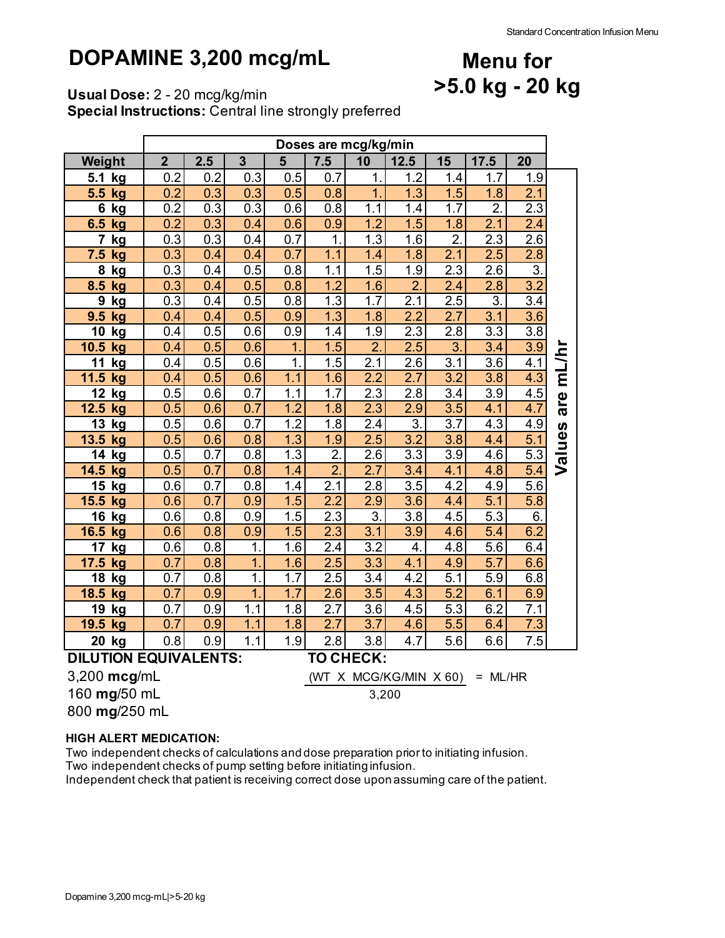## **DOPAMINE 3,200 mcg/mL**

## **Menu for >5.0 kg - 20 kg**

**Usual Dose:** 2 - 20 mcg/kg/min

**Special Instructions:** Central line strongly preferred

|                                           | Doses are mcg/kg/min |     |                  |                  |                  |                  |                  |                  |                  |                  |        |
|-------------------------------------------|----------------------|-----|------------------|------------------|------------------|------------------|------------------|------------------|------------------|------------------|--------|
| Weight                                    | $\overline{2}$       | 2.5 | $\overline{3}$   | 5                | 7.5              | 10               | 12.5             | 15               | 17.5             | 20               |        |
| 5.1<br>kg                                 | 0.2                  | 0.2 | 0.3              | 0.5              | 0.7              | 1.               | 1.2              | 1.4              | 1.7              | 1.9              |        |
| 5.5<br>kg                                 | 0.2                  | 0.3 | 0.3              | 0.5              | 0.8              | $\overline{1}$   | 1.3              | 1.5              | 1.8              | $\overline{2.1}$ |        |
| 6<br>kg                                   | 0.2                  | 0.3 | 0.3              | 0.6              | 0.8              | 1.1              | 1.4              | 1.7              | $\overline{2}$   | 2.3              |        |
| 6.5 kg                                    | 0.2                  | 0.3 | 0.4              | 0.6              | 0.9              | 1.2              | 1.5              | 1.8              | 2.1              | $\overline{2.4}$ |        |
| $\overline{7}$<br>kg                      | 0.3                  | 0.3 | 0.4              | 0.7              | $\mathbf 1$      | $\overline{1.3}$ | $\overline{1.6}$ | $\overline{2}$ . | 2.3              | $\overline{2.6}$ |        |
| 7.5<br>kg                                 | 0.3                  | 0.4 | 0.4              | 0.7              | 1.1              | 1.4              | 1.8              | 2.1              | 2.5              | 2.8              |        |
| 8<br>kg                                   | 0.3                  | 0.4 | 0.5              | 0.8              | 1.1              | 1.5              | 1.9              | 2.3              | 2.6              | $\overline{3}$   |        |
| 8.5<br>kg                                 | 0.3                  | 0.4 | 0.5              | 0.8              | 1.2              | 1.6              | $\overline{2}$ . | 2.4              | 2.8              | $\overline{3.2}$ |        |
| $\boldsymbol{9}$<br>kg                    | 0.3                  | 0.4 | 0.5              | 0.8              | 1.3              | 1.7              | 2.1              | 2.5              | $\overline{3}$ . | 3.4              |        |
| 9.5<br>kg                                 | 0.4                  | 0.4 | 0.5              | 0.9              | 1.3              | 1.8              | 2.2              | 2.7              | 3.1              | 3.6              |        |
| 10<br>kg                                  | 0.4                  | 0.5 | 0.6              | 0.9              | 1.4              | 1.9              | 2.3              | 2.8              | $\overline{3.3}$ | $\overline{3.8}$ |        |
| 10.5<br>kg                                | 0.4                  | 0.5 | 0.6              | $\overline{1}$ . | 1.5              | $\overline{2}$ . | 2.5              | 3.               | 3.4              | $\overline{3.9}$ |        |
| 11<br>kg                                  | 0.4                  | 0.5 | 0.6              | 1.               | 1.5              | 2.1              | 2.6              | 3.1              | 3.6              | 4.1              | mL/hr  |
| 11.5<br>kg                                | 0.4                  | 0.5 | 0.6              | 1.1              | 1.6              | $\overline{2.2}$ | 2.7              | $\overline{3.2}$ | $\overline{3.8}$ | $\overline{4.3}$ |        |
| 12<br>kg                                  | 0.5                  | 0.6 | 0.7              | 1.1              | 1.7              | 2.3              | 2.8              | 3.4              | 3.9              | 4.5              |        |
| 12.5 kg                                   | 0.5                  | 0.6 | 0.7              | 1.2              | 1.8              | 2.3              | 2.9              | 3.5              | 4.1              | 4.7              | are    |
| 13<br>kg                                  | 0.5                  | 0.6 | 0.7              | 1.2              | 1.8              | $\overline{2.4}$ | $\overline{3}$ . | 3.7              | 4.3              | 4.9              |        |
| 13.5 kg                                   | 0.5                  | 0.6 | 0.8              | $\overline{1.3}$ | 1.9              | $\overline{2.5}$ | $\overline{3.2}$ | 3.8              | 4.4              | $\overline{5.1}$ | Values |
| 14<br>kg                                  | 0.5                  | 0.7 | 0.8              | 1.3              | 2.               | 2.6              | 3.3              | 3.9              | 4.6              | 5.3              |        |
| 14.5 kg                                   | 0.5                  | 0.7 | 0.8              | $\overline{1.4}$ | $\overline{2}$ . | $\overline{2.7}$ | 3.4              | 4.1              | 4.8              | $\overline{5.4}$ |        |
| 15<br>kg                                  | 0.6                  | 0.7 | 0.8              | 1.4              | 2.1              | 2.8              | 3.5              | 4.2              | 4.9              | $\overline{5.6}$ |        |
| 15.5<br>kg                                | 0.6                  | 0.7 | 0.9              | 1.5              | 2.2              | 2.9              | 3.6              | 4.4              | 5.1              | 5.8              |        |
| 16<br><u>kg</u>                           | 0.6                  | 0.8 | 0.9              | 1.5              | 2.3              | $\overline{3}$ . | 3.8              | $4.\overline{5}$ | $\overline{5.3}$ | $\overline{6}$   |        |
| 16.5 kg                                   | 0.6                  | 0.8 | 0.9              | 1.5              | 2.3              | 3.1              | 3.9              | 4.6              | 5.4              | 6.2              |        |
| 17<br>kg                                  | 0.6                  | 0.8 | 1.               | 1.6              | $\overline{2.4}$ | $\overline{3.2}$ | 4.               | 4.8              | 5.6              | 6.4              |        |
| 17.5<br>kg                                | 0.7                  | 0.8 | $\mathbf 1$      | 1.6              | 2.5              | $\overline{3.3}$ | 4.1              | 4.9              | $\overline{5.7}$ | 6.6              |        |
| 18<br>kg                                  | 0.7                  | 0.8 | $\overline{1}$ . | 1.7              | 2.5              | 3.4              | 4.2              | 5.1              | 5.9              | 6.8              |        |
| 18.5<br>kg                                | 0.7                  | 0.9 | $\overline{1}$ . | 1.7              | 2.6              | 3.5              | 4.3              | 5.2              | 6.1              | 6.9              |        |
| 19<br>kg                                  | 0.7                  | 0.9 | $\overline{1.1}$ | 1.8              | 2.7              | 3.6              | 4.5              | 5.3              | 6.2              | 7.1              |        |
| 19.5<br>kg                                | 0.7                  | 0.9 | 1.1              | 1.8              | 2.7              | 3.7              | 4.6              | 5.5              | 6.4              | 7.3              |        |
| 20 kg                                     | 0.8                  | 0.9 | 1.1              | 1.9              | 2.8              | 3.8              | 4.7              | 5.6              | 6.6              | 7.5              |        |
| <b>DILUTION EQUIVALENTS:</b><br>TO CHECK: |                      |     |                  |                  |                  |                  |                  |                  |                  |                  |        |

3,200 **mcg**/mL (WT X MCG/KG/MIN X 60) = ML/HR

160 **mg**/50 mL

800 **mg**/250 mL

#### **HIGH ALERT MEDICATION:**

Two independent checks of calculations and dose preparation prior to initiating infusion. Two independent checks of pump setting before initiating infusion.

Independent check that patient is receiving correct dose upon assuming care of the patient.

3,200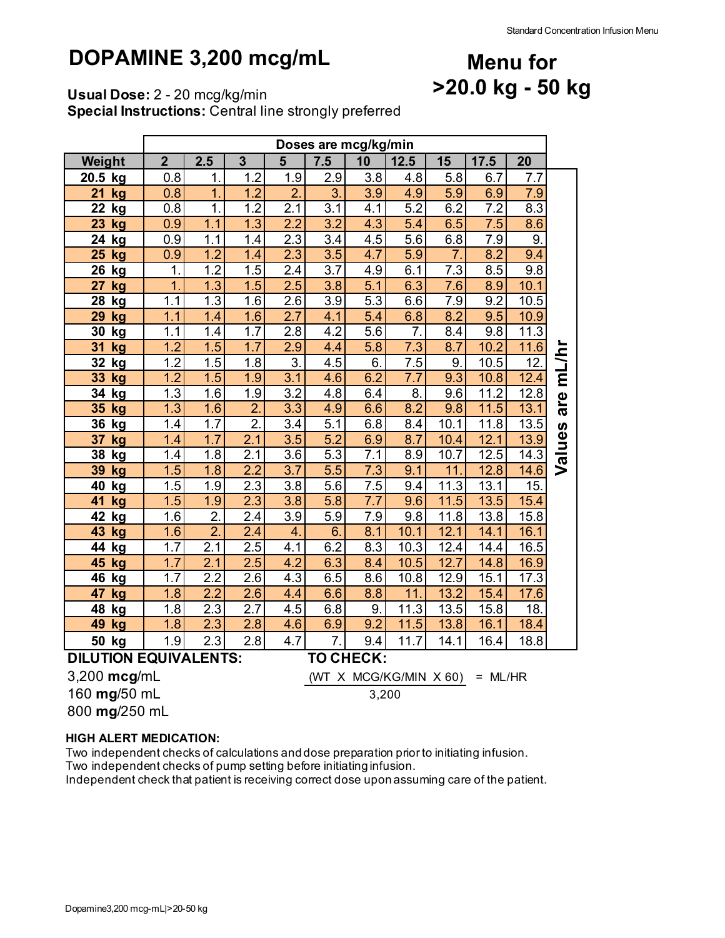### **DOPAMINE 3,200 mcg/mL**

### **Menu for >20.0 kg - 50 kg**

**Usual Dose:** 2 - 20 mcg/kg/min

**Special Instructions:** Central line strongly preferred

|                                                  | Doses are mcg/kg/min |                  |                   |                  |                  |                  |                  |                  |                  |                  |        |  |
|--------------------------------------------------|----------------------|------------------|-------------------|------------------|------------------|------------------|------------------|------------------|------------------|------------------|--------|--|
| Weight                                           | $\overline{2}$       | 2.5              | 3                 | 5                | 7.5              | 10               | 12.5             | 15               | 17.5             | 20               |        |  |
| 20.5<br>kg                                       | 0.8                  | 1.               | 1.2               | 1.9              | 2.9              | 3.8              | 4.8              | 5.8              | 6.7              | 7.7              |        |  |
| 21<br>kg                                         | 0.8                  | $\overline{1}$   | 1.2               | $\overline{2}$   | $\overline{3}$ . | $\overline{3.9}$ | 4.9              | 5.9              | 6.9              | 7.9              |        |  |
| 22<br><u>kg</u>                                  | 0.8                  | $\mathbf 1$      | 1.2               | 2.1              | $\overline{3.1}$ | 4.1              | 5.2              | 6.2              | 7.2              | 8.3              |        |  |
| 23<br>kg                                         | 0.9                  | 1.1              | 1.3               | $\overline{2.2}$ | 3.2              | 4.3              | 5.4              | 6.5              | 7.5              | 8.6              |        |  |
| 24<br>kg                                         | 0.9                  | 1.1              | 1.4               | $\overline{2.3}$ | $\overline{3.4}$ | 4.5              | 5.6              | 6.8              | $\overline{7.9}$ | $\overline{9}$ . |        |  |
| 25<br>kg                                         | 0.9                  | 1.2              | 1.4               | 2.3              | 3.5              | 4.7              | 5.9              | $\overline{7}$ . | 8.2              | 9.4              |        |  |
| 26<br><u>kg</u>                                  | 1.                   | 1.2              | 1.5               | 2.4              | 3.7              | 4.9              | 6.1              | 7.3              | 8.5              | 9.8              |        |  |
| 27<br>kg                                         | 1.                   | 1.3              | 1.5               | 2.5              | 3.8              | 5.1              | 6.3              | 7.6              | 8.9              | 10.1             |        |  |
| 28<br>kg                                         | 1.1                  | 1.3              | 1.6               | 2.6              | 3.9              | 5.3              | 6.6              | $\overline{7.9}$ | 9.2              | 10.5             |        |  |
| 29<br>kg                                         | 1.1                  | 1.4              | 1.6               | $\overline{2.7}$ | 4.1              | 5.4              | 6.8              | 8.2              | 9.5              | 10.9             |        |  |
| 30<br>kg                                         | 1.1                  | 1.4              | $\overline{1}$ .7 | 2.8              | 4.2              | 5.6              | $\overline{7}$ . | 8.4              | 9.8              | 11.3             |        |  |
| 31<br>kg                                         | 1.2                  | 1.5              | 1.7               | 2.9              | 4.4              | 5.8              | 7.3              | 8.7              | 10.2             | 11.6             |        |  |
| 32<br>kg                                         | 1.2                  | 1.5              | 1.8               | 3.               | 4.5              | 6.               | $\overline{7.5}$ | 9.               | 10.5             | $\overline{12}$  | mL/hr  |  |
| 33<br>kg                                         | 1.2                  | 1.5              | 1.9               | 3.1              | 4.6              | 6.2              | $7.\overline{7}$ | 9.3              | 10.8             | 12.4             |        |  |
| 34<br>kg                                         | 1.3                  | 1.6              | 1.9               | 3.2              | 4.8              | 6.4              | 8.               | 9.6              | 11.2             | 12.8             | are    |  |
| 35<br>kg                                         | 1.3                  | 1.6              | $\overline{2}$ .  | $\overline{3.3}$ | 4.9              | 6.6              | 8.2              | 9.8              | 11.5             | 13.1             |        |  |
| 36<br>kg                                         | 1.4                  | 1.7              | $\overline{2}$ .  | $\overline{3.4}$ | 5.1              | 6.8              | 8.4              | 10.1             | 11.8             | 13.5             |        |  |
| 37<br>kg                                         | 1.4                  | 1.7              | $\overline{2.1}$  | 3.5              | $\overline{5.2}$ | 6.9              | 8.7              | 10.4             | 12.1             | 13.9             |        |  |
| 38<br>kg                                         | 1.4                  | 1.8              | 2.1               | 3.6              | 5.3              | 7.1              | 8.9              | 10.7             | 12.5             | 14.3             | Values |  |
| 39<br>kg                                         | 1.5                  | 1.8              | $\overline{2.2}$  | $\overline{3.7}$ | $\overline{5.5}$ | 7.3              | 9.1              | 11.              | 12.8             | 14.6             |        |  |
| 40<br>kg                                         | 1.5                  | 1.9              | 2.3               | 3.8              | 5.6              | 7.5              | 9.4              | 11.3             | 13.1             | 15.              |        |  |
| 41<br>kg                                         | 1.5                  | 1.9              | 2.3               | 3.8              | 5.8              | $\overline{7.7}$ | 9.6              | 11.5             | 13.5             | 15.4             |        |  |
| 42<br>kg                                         | 1.6                  | $\overline{2}$   | $\overline{2.4}$  | $\overline{3.9}$ | $\overline{5.9}$ | 7.9              | 9.8              | 11.8             | 13.8             | 15.8             |        |  |
| 43<br>kg                                         | 1.6                  | $\overline{2}$   | 2.4               | 4.               | 6.               | 8.1              | 10.1             | 12.1             | 14.1             | 16.1             |        |  |
| 44<br>kg                                         | 1.7                  | 2.1              | 2.5               | 4.1              | 6.2              | 8.3              | 10.3             | 12.4             | 14.4             | 16.5             |        |  |
| 45<br>kg                                         | 1.7                  | 2.1              | $\overline{2.5}$  | $\overline{4.2}$ | 6.3              | 8.4              | 10.5             | 12.7             | 14.8             | 16.9             |        |  |
| 46<br>kg                                         | 1.7                  | 2.2              | 2.6               | 4.3              | 6.5              | 8.6              | 10.8             | 12.9             | 15.1             | 17.3             |        |  |
| 47<br>kg                                         | 1.8                  | 2.2              | 2.6               | 4.4              | 6.6              | 8.8              | 11.              | 13.2             | 15.4             | 17.6             |        |  |
| 48<br>kg                                         | 1.8                  | $\overline{2.3}$ | $\overline{2.7}$  | 4.5              | 6.8              | 9.               | 11.3             | 13.5             | 15.8             | 18.              |        |  |
| 49<br>kg                                         | 1.8                  | $\overline{2.3}$ | 2.8               | 4.6              | 6.9              | 9.2              | 11.5             | 13.8             | 16.1             | 18.4             |        |  |
| 50<br>kg                                         | 1.9                  | 2.3              | 2.8               | 4.7              | $\overline{7}$ . | 9.4              | 11.7             | 14.1             | 16.4             | 18.8             |        |  |
| <b>DILUTION EQUIVALENTS:</b><br><b>TO CHECK:</b> |                      |                  |                   |                  |                  |                  |                  |                  |                  |                  |        |  |

3,200 **mcg**/mL (WT X MCG/KG/MIN X 60) = ML/HR

3,200

**mg**/50 mL

**mg**/250 mL

#### **HIGH ALERT MEDICATION:**

Two independent checks of calculations and dose preparation prior to initiating infusion. Two independent checks of pump setting before initiating infusion.

Independent check that patient is receiving correct dose upon assuming care of the patient.